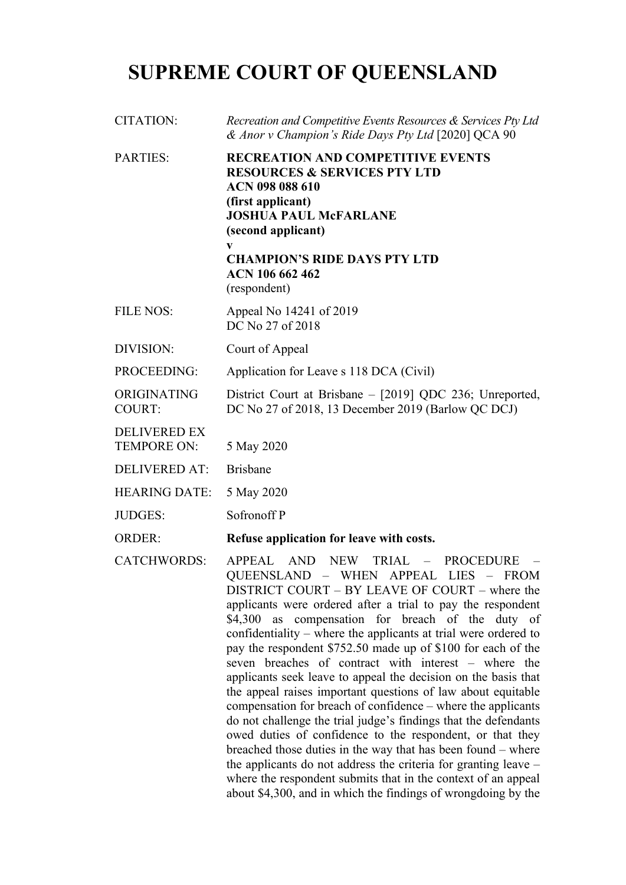## **SUPREME COURT OF QUEENSLAND**

| <b>CITATION:</b>                          | Recreation and Competitive Events Resources & Services Pty Ltd<br>& Anor v Champion's Ride Days Pty Ltd [2020] QCA 90                                                                                                                                                                                                                                                                                                                                                                                                                                                          |
|-------------------------------------------|--------------------------------------------------------------------------------------------------------------------------------------------------------------------------------------------------------------------------------------------------------------------------------------------------------------------------------------------------------------------------------------------------------------------------------------------------------------------------------------------------------------------------------------------------------------------------------|
| <b>PARTIES:</b>                           | <b>RECREATION AND COMPETITIVE EVENTS</b><br><b>RESOURCES &amp; SERVICES PTY LTD</b><br><b>ACN 098 088 610</b><br>(first applicant)<br><b>JOSHUA PAUL McFARLANE</b><br>(second applicant)<br><b>CHAMPION'S RIDE DAYS PTY LTD</b><br>ACN 106 662 462<br>(respondent)                                                                                                                                                                                                                                                                                                             |
| <b>FILE NOS:</b>                          | Appeal No 14241 of 2019<br>DC No 27 of 2018                                                                                                                                                                                                                                                                                                                                                                                                                                                                                                                                    |
| DIVISION:                                 | Court of Appeal                                                                                                                                                                                                                                                                                                                                                                                                                                                                                                                                                                |
| PROCEEDING:                               | Application for Leave s 118 DCA (Civil)                                                                                                                                                                                                                                                                                                                                                                                                                                                                                                                                        |
| ORIGINATING<br><b>COURT:</b>              | District Court at Brisbane – [2019] QDC 236; Unreported,<br>DC No 27 of 2018, 13 December 2019 (Barlow QC DCJ)                                                                                                                                                                                                                                                                                                                                                                                                                                                                 |
| <b>DELIVERED EX</b><br><b>TEMPORE ON:</b> | 5 May 2020                                                                                                                                                                                                                                                                                                                                                                                                                                                                                                                                                                     |
| <b>DELIVERED AT:</b>                      | <b>Brisbane</b>                                                                                                                                                                                                                                                                                                                                                                                                                                                                                                                                                                |
| <b>HEARING DATE:</b>                      | 5 May 2020                                                                                                                                                                                                                                                                                                                                                                                                                                                                                                                                                                     |
| <b>JUDGES:</b>                            | Sofronoff P                                                                                                                                                                                                                                                                                                                                                                                                                                                                                                                                                                    |
| <b>ORDER:</b>                             | Refuse application for leave with costs.                                                                                                                                                                                                                                                                                                                                                                                                                                                                                                                                       |
| <b>CATCHWORDS:</b>                        | <b>AND</b><br><b>APPEAL</b><br><b>NEW</b><br>TRIAL -<br><b>PROCEDURE</b><br>QUEENSLAND - WHEN APPEAL<br>LIES - FROM<br>$\overline{\text{D}}$ $\overline{\text{D}}$ $\overline{\text{D}}$ $\overline{\text{D}}$ $\overline{\text{D}}$ $\overline{\text{D}}$ $\overline{\text{D}}$ $\overline{\text{D}}$ $\overline{\text{D}}$ $\overline{\text{D}}$ $\overline{\text{D}}$ $\overline{\text{D}}$ $\overline{\text{D}}$ $\overline{\text{D}}$ $\overline{\text{D}}$ $\overline{\text{D}}$ $\overline{\text{D}}$ $\overline{\text{D}}$ $\overline{\text{D}}$ $\overline{\text{D}}$ |

DISTRICT COURT – BY LEAVE OF COURT – where the applicants were ordered after a trial to pay the respondent \$4,300 as compensation for breach of the duty of confidentiality – where the applicants at trial were ordered to pay the respondent \$752.50 made up of \$100 for each of the seven breaches of contract with interest – where the applicants seek leave to appeal the decision on the basis that the appeal raises important questions of law about equitable compensation for breach of confidence – where the applicants do not challenge the trial judge's findings that the defendants owed duties of confidence to the respondent, or that they breached those duties in the way that has been found – where the applicants do not address the criteria for granting leave – where the respondent submits that in the context of an appeal about \$4,300, and in which the findings of wrongdoing by the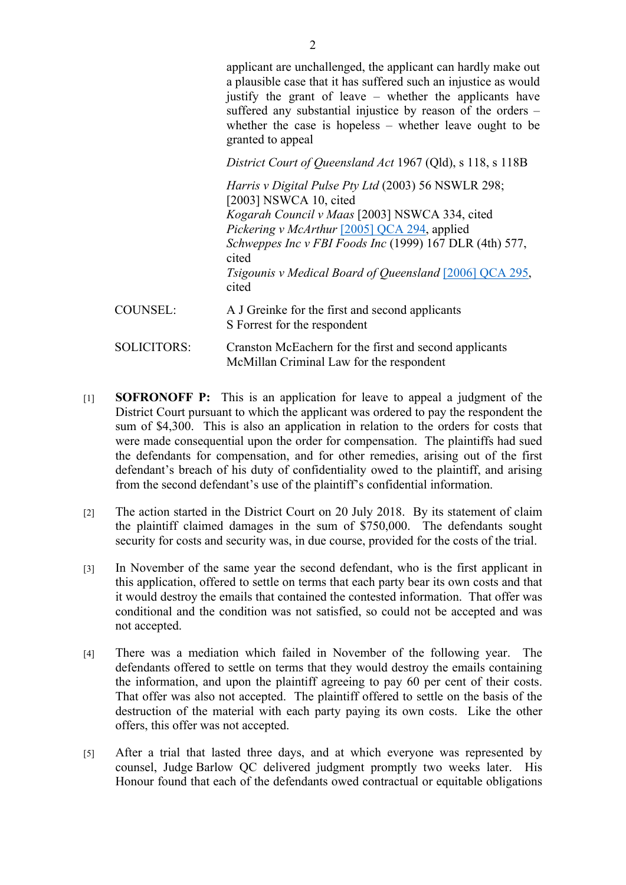applicant are unchallenged, the applicant can hardly make out a plausible case that it has suffered such an injustice as would justify the grant of leave – whether the applicants have suffered any substantial injustice by reason of the orders – whether the case is hopeless – whether leave ought to be granted to appeal

*District Court of Queensland Act* 1967 (Qld), s 118, s 118B

*Harris v Digital Pulse Pty Ltd* (2003) 56 NSWLR 298; [2003] NSWCA 10, cited *Kogarah Council v Maas* [2003] NSWCA 334, cited *Pickering v McArthur* [2005] QCA 294, applied *Schweppes Inc v FBI Foods Inc* (1999) 167 DLR (4th) 577, cited *Tsigounis v Medical Board of Queensland* [2006] QCA 295, cited COUNSEL: A J Greinke for the first and second applicants S Forrest for the respondent SOLICITORS: Cranston McEachern for the first and second applicants McMillan Criminal Law for the respondent

- [1] **SOFRONOFF P:** This is an application for leave to appeal a judgment of the District Court pursuant to which the applicant was ordered to pay the respondent the sum of \$4,300. This is also an application in relation to the orders for costs that were made consequential upon the order for compensation. The plaintiffs had sued the defendants for compensation, and for other remedies, arising out of the first defendant's breach of his duty of confidentiality owed to the plaintiff, and arising from the second defendant's use of the plaintiff's confidential information.
- [2] The action started in the District Court on 20 July 2018. By its statement of claim the plaintiff claimed damages in the sum of \$750,000. The defendants sought security for costs and security was, in due course, provided for the costs of the trial.
- [3] In November of the same year the second defendant, who is the first applicant in this application, offered to settle on terms that each party bear its own costs and that it would destroy the emails that contained the contested information. That offer was conditional and the condition was not satisfied, so could not be accepted and was not accepted.
- [4] There was a mediation which failed in November of the following year. The defendants offered to settle on terms that they would destroy the emails containing the information, and upon the plaintiff agreeing to pay 60 per cent of their costs. That offer was also not accepted. The plaintiff offered to settle on the basis of the destruction of the material with each party paying its own costs. Like the other offers, this offer was not accepted.
- [5] After a trial that lasted three days, and at which everyone was represented by counsel, Judge Barlow QC delivered judgment promptly two weeks later. His Honour found that each of the defendants owed contractual or equitable obligations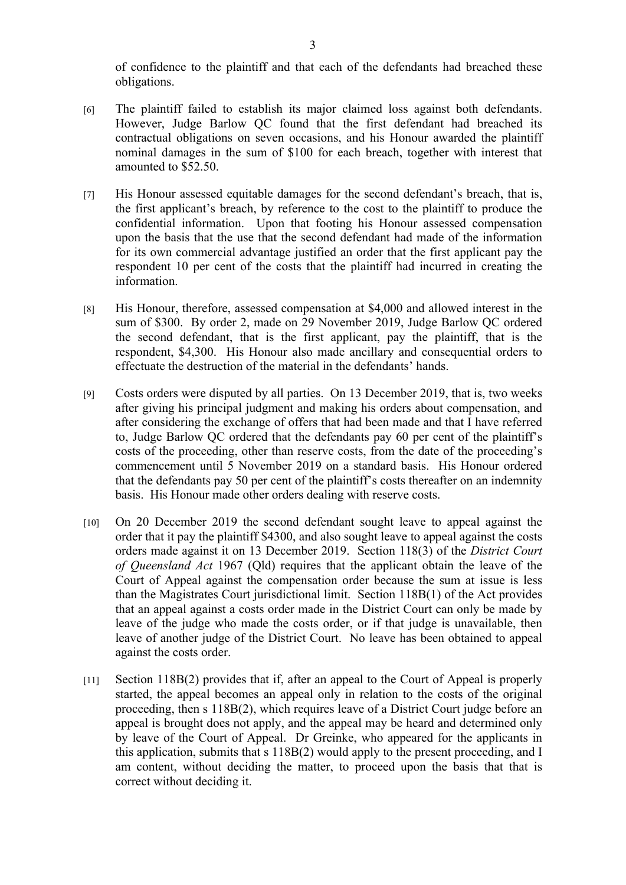of confidence to the plaintiff and that each of the defendants had breached these obligations.

- [6] The plaintiff failed to establish its major claimed loss against both defendants. However, Judge Barlow QC found that the first defendant had breached its contractual obligations on seven occasions, and his Honour awarded the plaintiff nominal damages in the sum of \$100 for each breach, together with interest that amounted to \$52.50.
- [7] His Honour assessed equitable damages for the second defendant's breach, that is, the first applicant's breach, by reference to the cost to the plaintiff to produce the confidential information. Upon that footing his Honour assessed compensation upon the basis that the use that the second defendant had made of the information for its own commercial advantage justified an order that the first applicant pay the respondent 10 per cent of the costs that the plaintiff had incurred in creating the information.
- [8] His Honour, therefore, assessed compensation at \$4,000 and allowed interest in the sum of \$300. By order 2, made on 29 November 2019, Judge Barlow QC ordered the second defendant, that is the first applicant, pay the plaintiff, that is the respondent, \$4,300. His Honour also made ancillary and consequential orders to effectuate the destruction of the material in the defendants' hands.
- [9] Costs orders were disputed by all parties. On 13 December 2019, that is, two weeks after giving his principal judgment and making his orders about compensation, and after considering the exchange of offers that had been made and that I have referred to, Judge Barlow QC ordered that the defendants pay 60 per cent of the plaintiff's costs of the proceeding, other than reserve costs, from the date of the proceeding's commencement until 5 November 2019 on a standard basis. His Honour ordered that the defendants pay 50 per cent of the plaintiff's costs thereafter on an indemnity basis. His Honour made other orders dealing with reserve costs.
- [10] On 20 December 2019 the second defendant sought leave to appeal against the order that it pay the plaintiff \$4300, and also sought leave to appeal against the costs orders made against it on 13 December 2019. Section 118(3) of the *District Court of Queensland Act* 1967 (Qld) requires that the applicant obtain the leave of the Court of Appeal against the compensation order because the sum at issue is less than the Magistrates Court jurisdictional limit. Section 118B(1) of the Act provides that an appeal against a costs order made in the District Court can only be made by leave of the judge who made the costs order, or if that judge is unavailable, then leave of another judge of the District Court. No leave has been obtained to appeal against the costs order.
- [11] Section 118B(2) provides that if, after an appeal to the Court of Appeal is properly started, the appeal becomes an appeal only in relation to the costs of the original proceeding, then s 118B(2), which requires leave of a District Court judge before an appeal is brought does not apply, and the appeal may be heard and determined only by leave of the Court of Appeal. Dr Greinke, who appeared for the applicants in this application, submits that s 118B(2) would apply to the present proceeding, and I am content, without deciding the matter, to proceed upon the basis that that is correct without deciding it.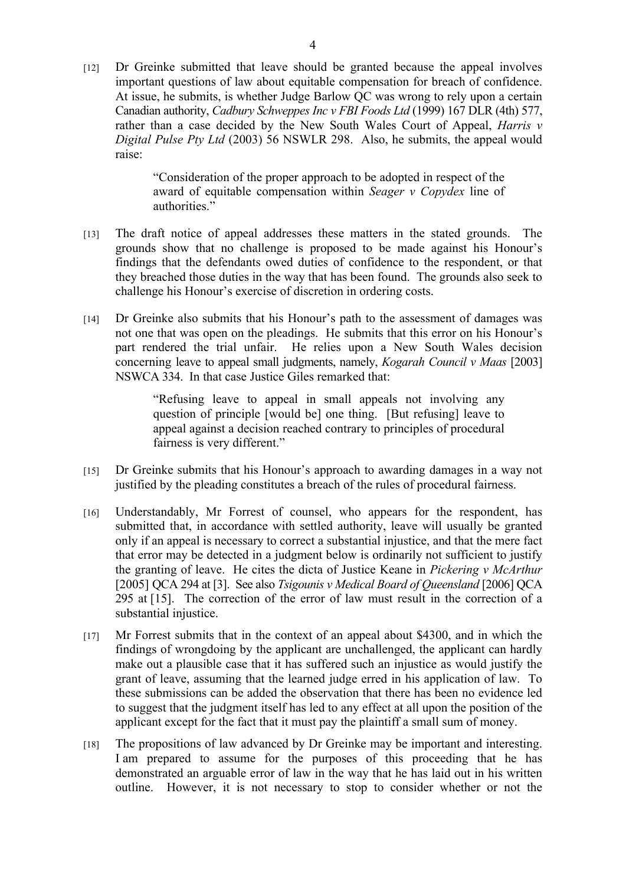[12] Dr Greinke submitted that leave should be granted because the appeal involves important questions of law about equitable compensation for breach of confidence. At issue, he submits, is whether Judge Barlow QC was wrong to rely upon a certain Canadian authority, *Cadbury Schweppes Inc v FBI Foods Ltd* (1999) 167 DLR (4th) 577, rather than a case decided by the New South Wales Court of Appeal, *Harris v Digital Pulse Pty Ltd* (2003) 56 NSWLR 298. Also, he submits, the appeal would raise:

> "Consideration of the proper approach to be adopted in respect of the award of equitable compensation within *Seager v Copydex* line of authorities."

- [13] The draft notice of appeal addresses these matters in the stated grounds. The grounds show that no challenge is proposed to be made against his Honour's findings that the defendants owed duties of confidence to the respondent, or that they breached those duties in the way that has been found. The grounds also seek to challenge his Honour's exercise of discretion in ordering costs.
- [14] Dr Greinke also submits that his Honour's path to the assessment of damages was not one that was open on the pleadings. He submits that this error on his Honour's part rendered the trial unfair. He relies upon a New South Wales decision concerning leave to appeal small judgments, namely, *Kogarah Council v Maas* [2003] NSWCA 334. In that case Justice Giles remarked that:

"Refusing leave to appeal in small appeals not involving any question of principle [would be] one thing. [But refusing] leave to appeal against a decision reached contrary to principles of procedural fairness is very different."

- [15] Dr Greinke submits that his Honour's approach to awarding damages in a way not justified by the pleading constitutes a breach of the rules of procedural fairness.
- [16] Understandably, Mr Forrest of counsel, who appears for the respondent, has submitted that, in accordance with settled authority, leave will usually be granted only if an appeal is necessary to correct a substantial injustice, and that the mere fact that error may be detected in a judgment below is ordinarily not sufficient to justify the granting of leave. He cites the dicta of Justice Keane in *Pickering v McArthur* [2005] QCA 294 at [3]. See also *Tsigounis v Medical Board of Queensland* [2006] QCA 295 at [15]. The correction of the error of law must result in the correction of a substantial injustice.
- [17] Mr Forrest submits that in the context of an appeal about \$4300, and in which the findings of wrongdoing by the applicant are unchallenged, the applicant can hardly make out a plausible case that it has suffered such an injustice as would justify the grant of leave, assuming that the learned judge erred in his application of law. To these submissions can be added the observation that there has been no evidence led to suggest that the judgment itself has led to any effect at all upon the position of the applicant except for the fact that it must pay the plaintiff a small sum of money.
- [18] The propositions of law advanced by Dr Greinke may be important and interesting. I am prepared to assume for the purposes of this proceeding that he has demonstrated an arguable error of law in the way that he has laid out in his written outline. However, it is not necessary to stop to consider whether or not the